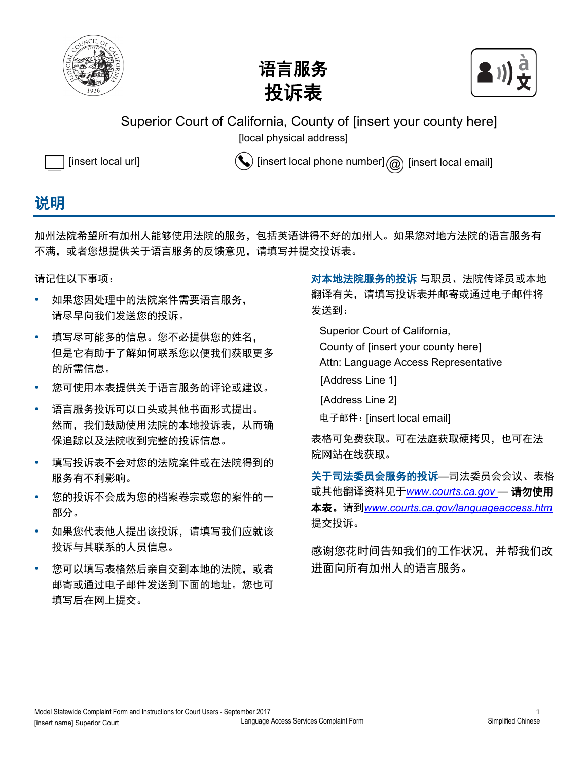





Superior Court of California, County of [insert your county here]

[local physical address] [local physical address]



[insert local url]  $\left(\bigvee\right)$  [insert local phone number]  $\textcircled{a}$  [insert local email]

## 说明

加州法院希望所有加州人能够使用法院的服务,包括英语讲得不好的加州人。如果您对地方法院的语言服务有 不满,或者您想提供关于语言服务的反馈意见,请填写并提交投诉表。

请记住以下事项:

- 如果您因处理中的法院案件需要语言服务, 请尽早向我们发送您的投诉。
- 填写尽可能多的信息。您不必提供您的姓名, 但是它有助于了解如何联系您以便我们获取更多 的所需信息。
- 您可使用本表提供关于语言服务的评论或建议。
- 语言服务投诉可以口头或其他书面形式提出。 然而,我们鼓励使用法院的本地投诉表,从而确 保追踪以及法院收到完整的投诉信息。
- 填写投诉表不会对您的法院案件或在法院得到的 服务有不利影响。
- 您的投诉不会成为您的档案卷宗或您的案件的一 部分。
- 如果您代表他人提出该投诉,请填写我们应就该 投诉与其联系的人员信息。
- 您可以填写表格然后亲自交到本地的法院,或者 邮寄或通过电子邮件发送到下面的地址。您也可 填写后在网上提交。

对本地法院服务的投诉 与职员、法院传译员或本地 翻译有关,请填写投诉表并邮寄或通过电子邮件将 发送到:

Superior Court of California,

County of [insert your county here] [insert your county here]

Attn: Language Access Representative

- Address Line 1 [Address Line 1]
- [Address Line 2]

电子邮件: *[insert local email]* [insert local email]

表格可免费获取。可在法庭获取硬拷贝,也可在法 院网站在线获取。

关于司法委员会服务的投诉—司法委员会会议、表格 或其他翻译资料见于*www.courts.ca.gov* — 请勿使用 本表。请到*www.courts.ca.gov/languageaccess.htm* 提交投诉。

感谢您花时间告知我们的工作状况,并帮我们改 进面向所有加州人的语言服务。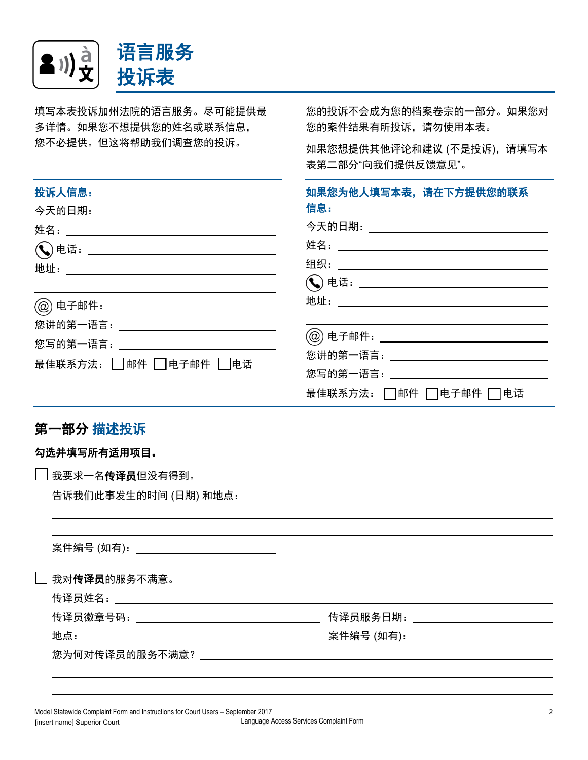

填写本表投诉加州法院的语言服务。尽可能提供最 多详情。如果您不想提供您的姓名或联系信息, 您不必提供。但这将帮助我们调查您的投诉。

您的投诉不会成为您的档案卷宗的一部分。如果您对 您的案件结果有所投诉,请勿使用本表。

如果您想提供其他评论和建议 (不是投诉),请填写本 表第二部分"向我们提供反馈意见"。

| 投诉人信息:                                                               | 如果您为他人填写本表,请在下方提供您的联系<br>信息:                      |
|----------------------------------------------------------------------|---------------------------------------------------|
|                                                                      | 今天的日期._____ <b>_____________________</b> ___      |
|                                                                      |                                                   |
|                                                                      | 地址:_____ <b>____________________________</b> ____ |
| 您讲的第一语言:___________________________________<br>最佳联系方法: □邮件 □电子邮件 □电话 | .<br>@) 电子邮件:_________________________________    |
|                                                                      | 最佳联系方法: □邮件 □电子邮件 □ 电话                            |

## 第一部分 描述投诉

| 勾选并填写所有适用项目。                               |                                                 |
|--------------------------------------------|-------------------------------------------------|
| 我要求一名传译员但没有得到。                             |                                                 |
|                                            |                                                 |
|                                            |                                                 |
|                                            |                                                 |
| 案件编号 (如有):________________________________ |                                                 |
| 我对传译员的服务不满意。                               |                                                 |
|                                            |                                                 |
|                                            | <u>传译员服务日期:___________________________</u>      |
|                                            | <u> 案件编号 (如有):_____________________________</u> |
|                                            |                                                 |
|                                            |                                                 |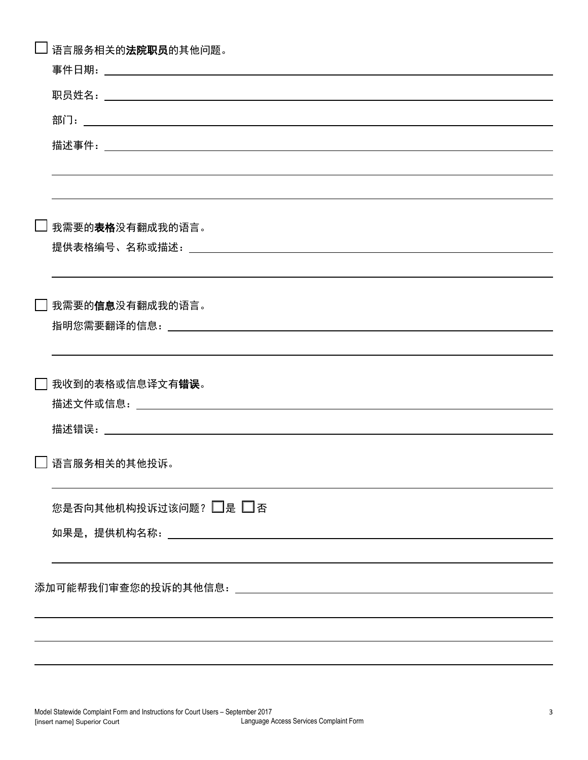| 语言服务相关的 <b>法院职员</b> 的其他问题。 |
|----------------------------|
|                            |
|                            |
|                            |
|                            |
|                            |
| □ 我需要的表格没有翻成我的语言。          |
|                            |
| □ 我需要的 <b>信息</b> 没有翻成我的语言。 |
|                            |
| 我收到的表格或信息译文有 <b>错误</b> 。   |
|                            |
| □ 语言服务相关的其他投诉。             |
| 您是否向其他机构投诉过该问题? □是 □否      |
|                            |
|                            |
|                            |
|                            |
|                            |
|                            |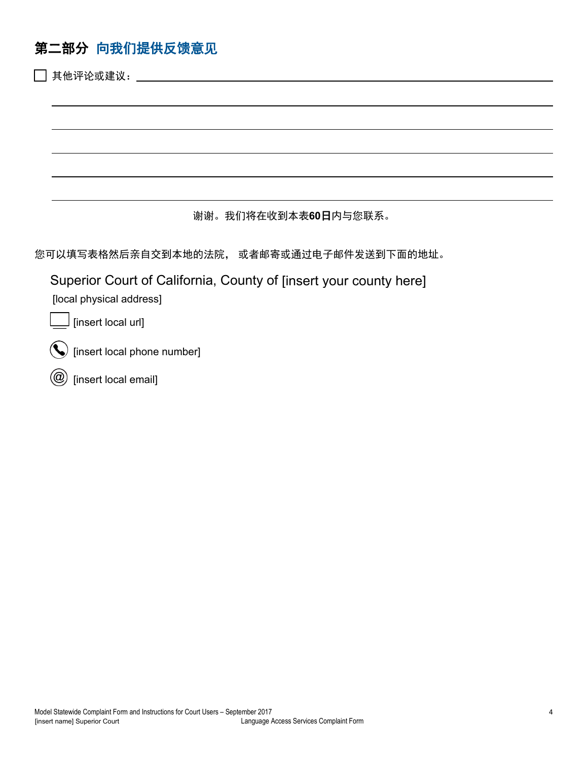## 第二部分向我们提供反馈意见

| 其他评论或建议:                                                                                      |
|-----------------------------------------------------------------------------------------------|
|                                                                                               |
|                                                                                               |
|                                                                                               |
|                                                                                               |
|                                                                                               |
| 谢谢。我们将在收到本表60日内与您联系。                                                                          |
| 您可以填写表格然后亲自交到本地的法院, 或者邮寄或通过电子邮件发送到下面的地址。                                                      |
| Superior Court of California, County of [insert your county here]<br>[local physical address] |
| [insert local url]                                                                            |
| [insert local phone number]                                                                   |
| [insert local email]                                                                          |